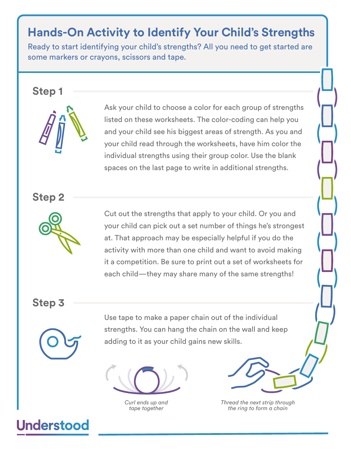## **Hands-On Activity to Identify Your Child's Strengths**

Ready to start identifying your child's strengths? All you need to get started are some markers or crayons, scissors and tape.

## **Step 1**



Ask your child to choose a color for each group of strengths listed on these worksheets. The color-coding can help you and your child see his biggest areas of strength. As you and your child read through the worksheets, have him color the individual strengths using their group color. Use the blank spaces on the last page to write in additional strengths.

**Step 2**



Cut out the strengths that apply to your child. Or you and your child can pick out a set number of things he's strongest at. That approach may be especially helpful if you do the activity with more than one child and want to avoid making it a competition. Be sure to print out a set of worksheets for each child—they may share many of the same strengths!

**Step 3**



**Understood** 

Use tape to make a paper chain out of the individual strengths. You can hang the chain on the wall and keep adding to it as your child gains new skills.

*Curl ends up and tape together*

*Thread the next strip through the ring to form a chain*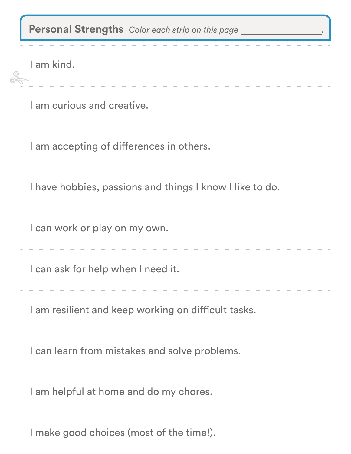| Personal Strengths Color each strip on this page         |
|----------------------------------------------------------|
| I am kind.                                               |
| I am curious and creative.                               |
| I am accepting of differences in others.                 |
| I have hobbies, passions and things I know I like to do. |
| I can work or play on my own.                            |
| can ask for help when I need it                          |
| I am resilient and keep working on difficult tasks.      |
| I can learn from mistakes and solve problems.            |
| I am helpful at home and do my chores.                   |
| I make good choices (most of the time!).                 |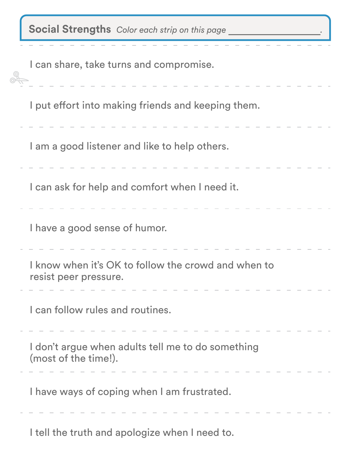| Social Strengths Color each strip on this page                               |
|------------------------------------------------------------------------------|
| I can share, take turns and compromise.                                      |
| I put effort into making friends and keeping them.                           |
| I am a good listener and like to help others.                                |
| I can ask for help and comfort when I need it.                               |
| I have a good sense of humor.                                                |
| I know when it's OK to follow the crowd and when to<br>resist peer pressure. |
| I can follow rules and routines.                                             |
| I don't argue when adults tell me to do something<br>(most of the time!).    |
| I have ways of coping when I am frustrated.                                  |
|                                                                              |

I tell the truth and apologize when I need to.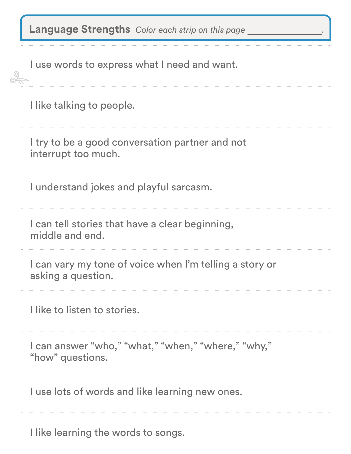|  | Language Strengths Color each strip on this page |  |
|--|--------------------------------------------------|--|
|--|--------------------------------------------------|--|

| I use words to express what I need and want.                                  |
|-------------------------------------------------------------------------------|
| I like talking to people.                                                     |
| I try to be a good conversation partner and not<br>interrupt too much.        |
| I understand jokes and playful sarcasm.                                       |
| I can tell stories that have a clear beginning,<br>middle and end.            |
| I can vary my tone of voice when I'm telling a story or<br>asking a question. |
| l like to listen to stories.                                                  |
| I can answer "who," "what," "when," "where," "why,"<br>"how" questions.       |
| I use lots of words and like learning new ones.                               |
| I like learning the words to songs.                                           |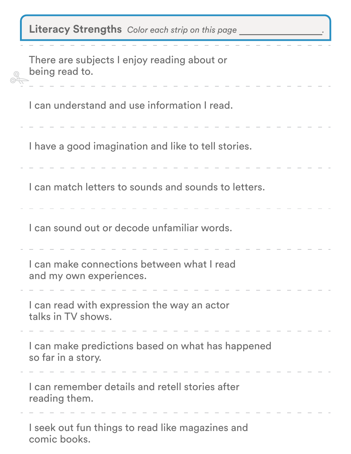| <b>Literacy Strengths</b> Color each strip on this page                 |  |
|-------------------------------------------------------------------------|--|
| There are subjects I enjoy reading about or<br>being read to.           |  |
| I can understand and use information I read.                            |  |
| I have a good imagination and like to tell stories.                     |  |
| I can match letters to sounds and sounds to letters.                    |  |
| I can sound out or decode unfamiliar words.                             |  |
| I can make connections between what I read<br>and my own experiences.   |  |
| I can read with expression the way an actor<br>talks in TV shows.       |  |
| I can make predictions based on what has happened<br>so far in a story. |  |
| I can remember details and retell stories after<br>reading them.        |  |
| I seek out fun things to read like magazines and<br>comic books.        |  |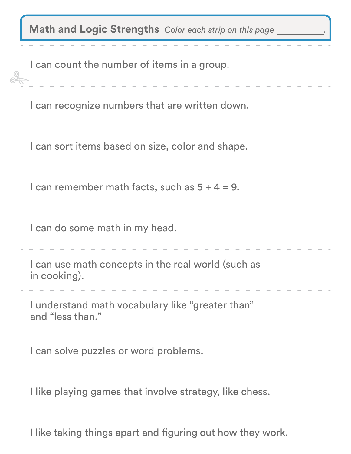| Math and Logic Strengths Color each strip on this page               |
|----------------------------------------------------------------------|
| I can count the number of items in a group.                          |
| I can recognize numbers that are written down.                       |
| I can sort items based on size, color and shape.                     |
| I can remember math facts, such as $5 + 4 = 9$ .                     |
| I can do some math in my head.                                       |
| I can use math concepts in the real world (such as<br>in cooking).   |
| I understand math vocabulary like "greater than"<br>and "less than." |
| I can solve puzzles or word problems.                                |
| I like playing games that involve strategy, like chess.              |
| I like taking things apart and figuring out how they work.           |